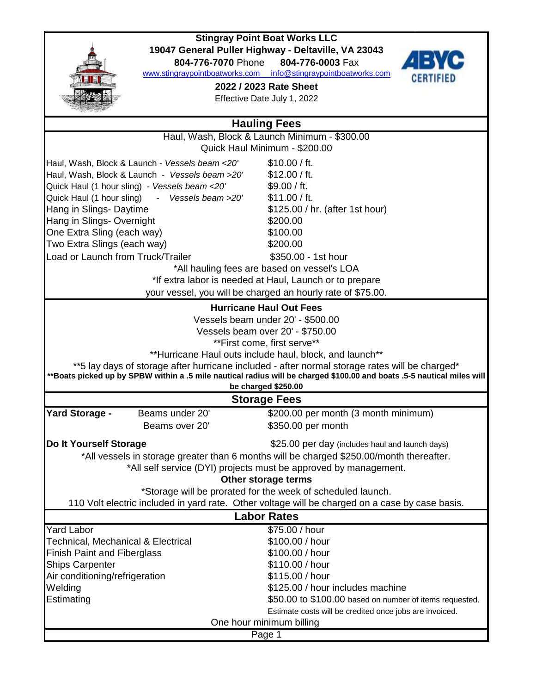

## **Stingray Point Boat Works LLC 19047 General Puller Highway - Deltaville, VA 23043**

**804-776-7070** Phone **804-776-0003** Fax

www.stingraypointboatworks.com info@stingraypointboatworks.com

**2022 / 2023 Rate Sheet**

Effective Date July 1, 2022



| <b>Hauling Fees</b>                                              |                                                         |                                                                                                                        |  |  |  |  |
|------------------------------------------------------------------|---------------------------------------------------------|------------------------------------------------------------------------------------------------------------------------|--|--|--|--|
|                                                                  |                                                         | Haul, Wash, Block & Launch Minimum - \$300.00                                                                          |  |  |  |  |
|                                                                  |                                                         | Quick Haul Minimum - \$200.00                                                                                          |  |  |  |  |
|                                                                  | Haul, Wash, Block & Launch - Vessels beam <20'          | \$10.00 / ft.                                                                                                          |  |  |  |  |
|                                                                  | Haul, Wash, Block & Launch - Vessels beam >20'          | \$12.00 / ft.                                                                                                          |  |  |  |  |
|                                                                  | Quick Haul (1 hour sling) - Vessels beam <20'           | \$9.00 / ft.                                                                                                           |  |  |  |  |
| Quick Haul (1 hour sling)                                        | - Vessels beam >20'                                     | \$11.00 / ft.                                                                                                          |  |  |  |  |
| Hang in Slings- Daytime                                          |                                                         | \$125.00 / hr. (after 1st hour)                                                                                        |  |  |  |  |
| Hang in Slings-Overnight                                         |                                                         | \$200.00                                                                                                               |  |  |  |  |
| One Extra Sling (each way)                                       |                                                         | \$100.00                                                                                                               |  |  |  |  |
| Two Extra Slings (each way)                                      |                                                         | \$200.00                                                                                                               |  |  |  |  |
| Load or Launch from Truck/Trailer                                |                                                         | \$350.00 - 1st hour                                                                                                    |  |  |  |  |
|                                                                  |                                                         | *All hauling fees are based on vessel's LOA                                                                            |  |  |  |  |
|                                                                  | *If extra labor is needed at Haul, Launch or to prepare |                                                                                                                        |  |  |  |  |
|                                                                  |                                                         | your vessel, you will be charged an hourly rate of \$75.00.                                                            |  |  |  |  |
| <b>Hurricane Haul Out Fees</b>                                   |                                                         |                                                                                                                        |  |  |  |  |
|                                                                  |                                                         | Vessels beam under 20' - \$500.00                                                                                      |  |  |  |  |
|                                                                  |                                                         | Vessels beam over 20' - \$750.00                                                                                       |  |  |  |  |
|                                                                  |                                                         | **First come, first serve**                                                                                            |  |  |  |  |
|                                                                  |                                                         | **Hurricane Haul outs include haul, block, and launch**                                                                |  |  |  |  |
|                                                                  |                                                         | **5 lay days of storage after hurricane included - after normal storage rates will be charged*                         |  |  |  |  |
|                                                                  |                                                         | **Boats picked up by SPBW within a .5 mile nautical radius will be charged \$100.00 and boats .5-5 nautical miles will |  |  |  |  |
|                                                                  |                                                         | be charged \$250.00                                                                                                    |  |  |  |  |
|                                                                  |                                                         | <b>Storage Fees</b>                                                                                                    |  |  |  |  |
| <b>Yard Storage -</b>                                            | Beams under 20'                                         | \$200.00 per month (3 month minimum)                                                                                   |  |  |  |  |
|                                                                  | Beams over 20'                                          | \$350.00 per month                                                                                                     |  |  |  |  |
| Do It Yourself Storage                                           |                                                         | \$25.00 per day (includes haul and launch days)                                                                        |  |  |  |  |
|                                                                  |                                                         | *All vessels in storage greater than 6 months will be charged \$250.00/month thereafter.                               |  |  |  |  |
| *All self service (DYI) projects must be approved by management. |                                                         |                                                                                                                        |  |  |  |  |
| Other storage terms                                              |                                                         |                                                                                                                        |  |  |  |  |
| *Storage will be prorated for the week of scheduled launch.      |                                                         |                                                                                                                        |  |  |  |  |
|                                                                  |                                                         | 110 Volt electric included in yard rate. Other voltage will be charged on a case by case basis.                        |  |  |  |  |
|                                                                  |                                                         | <b>Labor Rates</b>                                                                                                     |  |  |  |  |
| <b>Yard Labor</b>                                                |                                                         | \$75.00 / hour                                                                                                         |  |  |  |  |
| <b>Technical, Mechanical &amp; Electrical</b>                    |                                                         | \$100.00 / hour                                                                                                        |  |  |  |  |
| <b>Finish Paint and Fiberglass</b>                               |                                                         | \$100.00 / hour                                                                                                        |  |  |  |  |
| <b>Ships Carpenter</b>                                           |                                                         | \$110.00 / hour                                                                                                        |  |  |  |  |
| Air conditioning/refrigeration                                   |                                                         | \$115.00 / hour                                                                                                        |  |  |  |  |
| Welding                                                          |                                                         | \$125.00 / hour includes machine                                                                                       |  |  |  |  |
| Estimating                                                       |                                                         | \$50.00 to \$100.00 based on number of items requested.                                                                |  |  |  |  |
|                                                                  |                                                         | Estimate costs will be credited once jobs are invoiced.                                                                |  |  |  |  |
| One hour minimum billing                                         |                                                         |                                                                                                                        |  |  |  |  |

Page 1